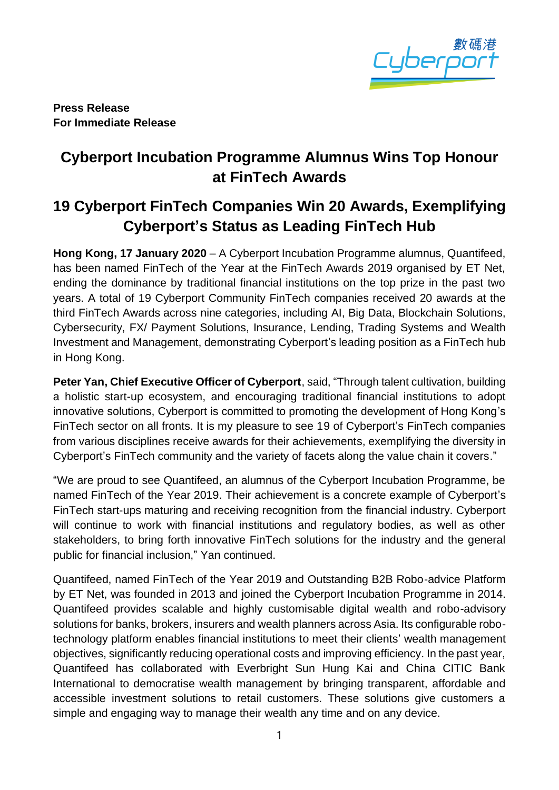

**Press Release For Immediate Release**

# **Cyberport Incubation Programme Alumnus Wins Top Honour at FinTech Awards**

# **19 Cyberport FinTech Companies Win 20 Awards, Exemplifying Cyberport's Status as Leading FinTech Hub**

**Hong Kong, 17 January 2020** – A Cyberport Incubation Programme alumnus, Quantifeed, has been named FinTech of the Year at the FinTech Awards 2019 organised by ET Net, ending the dominance by traditional financial institutions on the top prize in the past two years. A total of 19 Cyberport Community FinTech companies received 20 awards at the third FinTech Awards across nine categories, including AI, Big Data, Blockchain Solutions, Cybersecurity, FX/ Payment Solutions, Insurance, Lending, Trading Systems and Wealth Investment and Management, demonstrating Cyberport's leading position as a FinTech hub in Hong Kong.

**Peter Yan, Chief Executive Officer of Cyberport**, said, "Through talent cultivation, building a holistic start-up ecosystem, and encouraging traditional financial institutions to adopt innovative solutions, Cyberport is committed to promoting the development of Hong Kong's FinTech sector on all fronts. It is my pleasure to see 19 of Cyberport's FinTech companies from various disciplines receive awards for their achievements, exemplifying the diversity in Cyberport's FinTech community and the variety of facets along the value chain it covers."

"We are proud to see Quantifeed, an alumnus of the Cyberport Incubation Programme, be named FinTech of the Year 2019. Their achievement is a concrete example of Cyberport's FinTech start-ups maturing and receiving recognition from the financial industry. Cyberport will continue to work with financial institutions and regulatory bodies, as well as other stakeholders, to bring forth innovative FinTech solutions for the industry and the general public for financial inclusion," Yan continued.

Quantifeed, named FinTech of the Year 2019 and Outstanding B2B Robo-advice Platform by ET Net, was founded in 2013 and joined the Cyberport Incubation Programme in 2014. Quantifeed provides scalable and highly customisable digital wealth and robo-advisory solutions for banks, brokers, insurers and wealth planners across Asia. Its configurable robotechnology platform enables financial institutions to meet their clients' wealth management objectives, significantly reducing operational costs and improving efficiency. In the past year, Quantifeed has collaborated with Everbright Sun Hung Kai and China CITIC Bank International to democratise wealth management by bringing transparent, affordable and accessible investment solutions to retail customers. These solutions give customers a simple and engaging way to manage their wealth any time and on any device.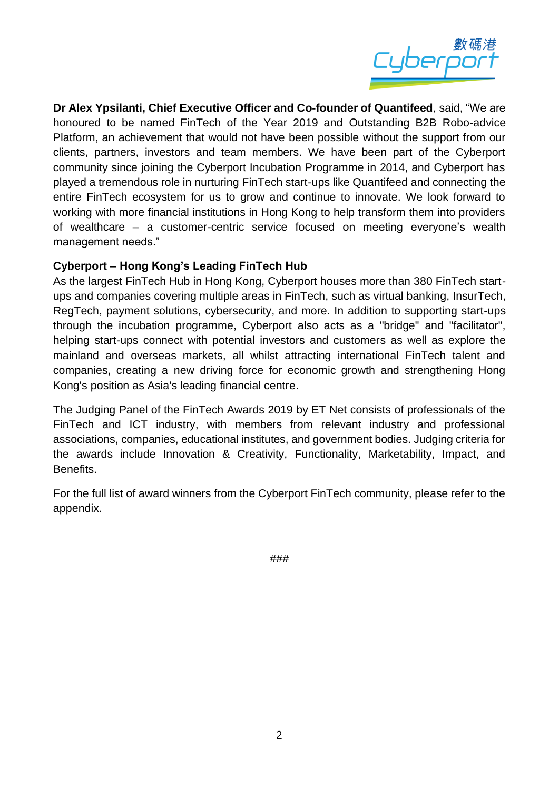

**Dr Alex Ypsilanti, Chief Executive Officer and Co-founder of Quantifeed**, said, "We are honoured to be named FinTech of the Year 2019 and Outstanding B2B Robo-advice Platform, an achievement that would not have been possible without the support from our clients, partners, investors and team members. We have been part of the Cyberport community since joining the Cyberport Incubation Programme in 2014, and Cyberport has played a tremendous role in nurturing FinTech start-ups like Quantifeed and connecting the entire FinTech ecosystem for us to grow and continue to innovate. We look forward to working with more financial institutions in Hong Kong to help transform them into providers of wealthcare – a customer-centric service focused on meeting everyone's wealth management needs."

### **Cyberport – Hong Kong's Leading FinTech Hub**

As the largest FinTech Hub in Hong Kong, Cyberport houses more than 380 FinTech startups and companies covering multiple areas in FinTech, such as virtual banking, InsurTech, RegTech, payment solutions, cybersecurity, and more. In addition to supporting start-ups through the incubation programme, Cyberport also acts as a "bridge" and "facilitator", helping start-ups connect with potential investors and customers as well as explore the mainland and overseas markets, all whilst attracting international FinTech talent and companies, creating a new driving force for economic growth and strengthening Hong Kong's position as Asia's leading financial centre.

The Judging Panel of the FinTech Awards 2019 by ET Net consists of professionals of the FinTech and ICT industry, with members from relevant industry and professional associations, companies, educational institutes, and government bodies. Judging criteria for the awards include Innovation & Creativity, Functionality, Marketability, Impact, and **Benefits** 

For the full list of award winners from the Cyberport FinTech community, please refer to the appendix.

###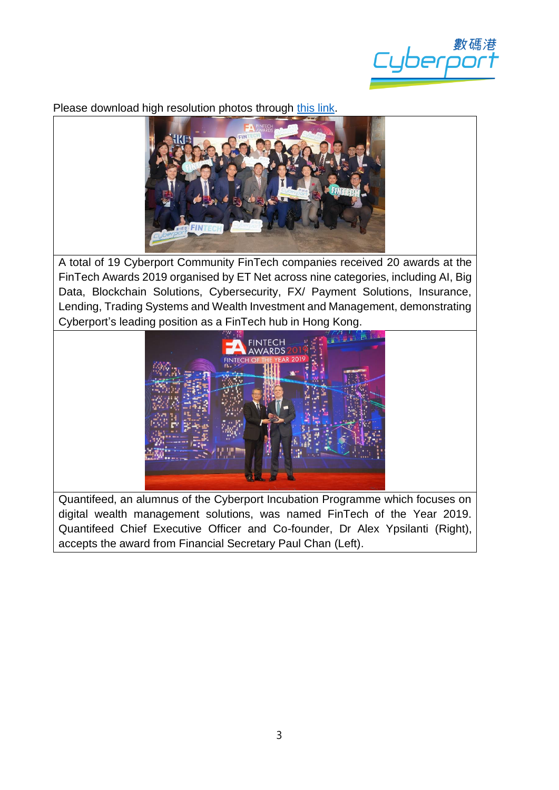

Please download high resolution photos through [this link.](https://drive.google.com/open?id=1RACz5CZkJy6f-SYco6aUVSkgBsTn2X8y)



A total of 19 Cyberport Community FinTech companies received 20 awards at the FinTech Awards 2019 organised by ET Net across nine categories, including AI, Big Data, Blockchain Solutions, Cybersecurity, FX/ Payment Solutions, Insurance, Lending, Trading Systems and Wealth Investment and Management, demonstrating Cyberport's leading position as a FinTech hub in Hong Kong.



Quantifeed, an alumnus of the Cyberport Incubation Programme which focuses on digital wealth management solutions, was named FinTech of the Year 2019. Quantifeed Chief Executive Officer and Co-founder, Dr Alex Ypsilanti (Right), accepts the award from Financial Secretary Paul Chan (Left).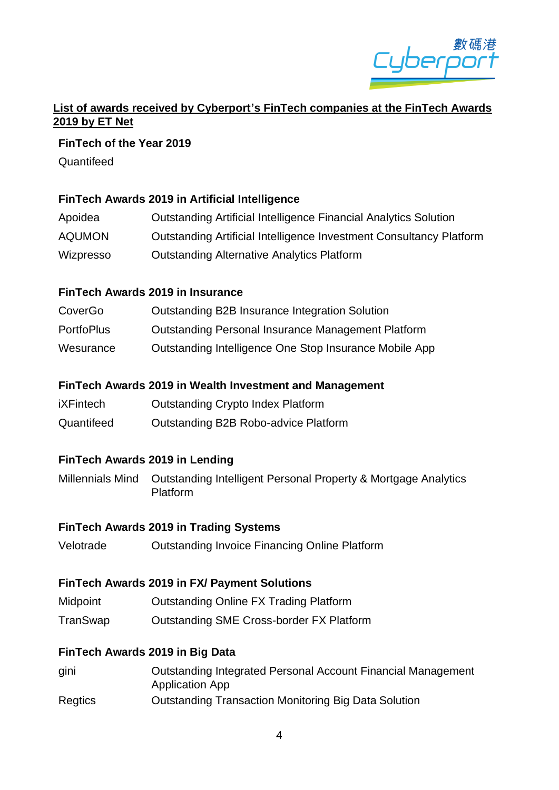

## **List of awards received by Cyberport's FinTech companies at the FinTech Awards 2019 by ET Net**

#### **FinTech of the Year 2019**

**Quantifeed** 

### **FinTech Awards 2019 in Artificial Intelligence**

| Apoidea       | Outstanding Artificial Intelligence Financial Analytics Solution    |
|---------------|---------------------------------------------------------------------|
| <b>AQUMON</b> | Outstanding Artificial Intelligence Investment Consultancy Platform |
| Wizpresso     | <b>Outstanding Alternative Analytics Platform</b>                   |

### **FinTech Awards 2019 in Insurance**

| CoverGo           | Outstanding B2B Insurance Integration Solution            |
|-------------------|-----------------------------------------------------------|
| <b>PortfoPlus</b> | <b>Outstanding Personal Insurance Management Platform</b> |
| Wesurance         | Outstanding Intelligence One Stop Insurance Mobile App    |

### **FinTech Awards 2019 in Wealth Investment and Management**

- iXFintech Outstanding Crypto Index Platform
- Quantifeed Outstanding B2B Robo-advice Platform

# **FinTech Awards 2019 in Lending**

Millennials Mind Outstanding Intelligent Personal Property & Mortgage Analytics Platform

### **FinTech Awards 2019 in Trading Systems**

Velotrade Outstanding Invoice Financing Online Platform

### **FinTech Awards 2019 in FX/ Payment Solutions**

- Midpoint Outstanding Online FX Trading Platform
- TranSwap Outstanding SME Cross-border FX Platform

### **FinTech Awards 2019 in Big Data**

gini Outstanding Integrated Personal Account Financial Management Application App Regtics Outstanding Transaction Monitoring Big Data Solution